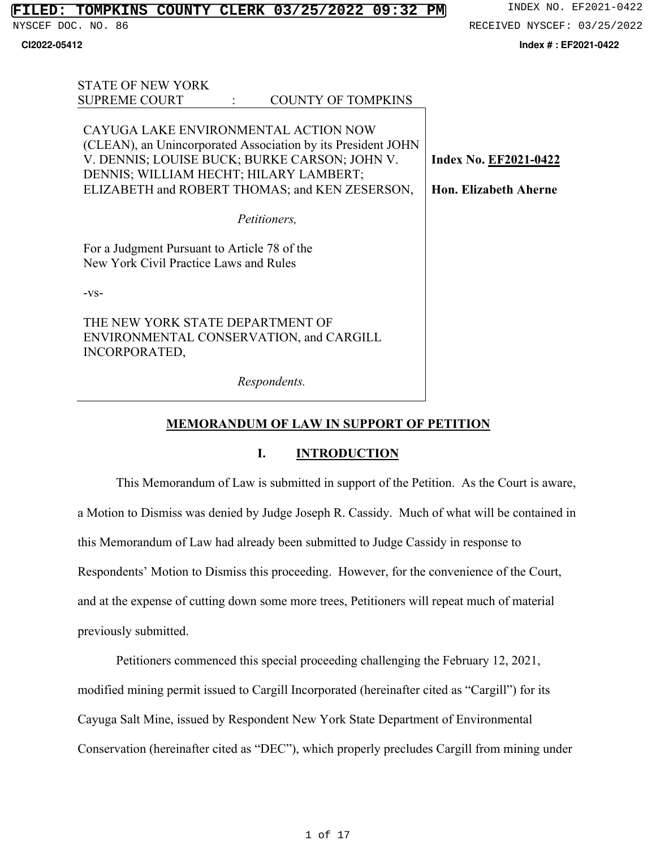STATE OF NEW YORK

NYSCEF DOC. NO. 86 8 RECEIVED NYSCEF: 03/25/2022

**CI2022-05412 Index # : EF2021-0422**

| STATE OF NEW YORK                                                                            |                       |
|----------------------------------------------------------------------------------------------|-----------------------|
| <b>SUPREME COURT</b><br><b>COUNTY OF TOMPKINS</b>                                            |                       |
|                                                                                              |                       |
| CAYUGA LAKE ENVIRONMENTAL ACTION NOW                                                         |                       |
| (CLEAN), an Unincorporated Association by its President JOHN                                 |                       |
| V. DENNIS; LOUISE BUCK; BURKE CARSON; JOHN V.                                                | Index No. EF2021-0422 |
| DENNIS; WILLIAM HECHT; HILARY LAMBERT;                                                       |                       |
| ELIZABETH and ROBERT THOMAS; and KEN ZESERSON,                                               | Hon. Elizabeth Aherne |
|                                                                                              |                       |
| Petitioners,                                                                                 |                       |
| For a Judgment Pursuant to Article 78 of the<br>New York Civil Practice Laws and Rules       |                       |
| $-VS-$                                                                                       |                       |
| THE NEW YORK STATE DEPARTMENT OF<br>ENVIRONMENTAL CONSERVATION, and CARGILL<br>INCORPORATED, |                       |
| Respondents.                                                                                 |                       |

# **MEMORANDUM OF LAW IN SUPPORT OF PETITION**

## **I. INTRODUCTION**

This Memorandum of Law is submitted in support of the Petition. As the Court is aware, a Motion to Dismiss was denied by Judge Joseph R. Cassidy. Much of what will be contained in this Memorandum of Law had already been submitted to Judge Cassidy in response to Respondents' Motion to Dismiss this proceeding. However, for the convenience of the Court, and at the expense of cutting down some more trees, Petitioners will repeat much of material previously submitted.

Petitioners commenced this special proceeding challenging the February 12, 2021, modified mining permit issued to Cargill Incorporated (hereinafter cited as "Cargill") for its Cayuga Salt Mine, issued by Respondent New York State Department of Environmental Conservation (hereinafter cited as "DEC"), which properly precludes Cargill from mining under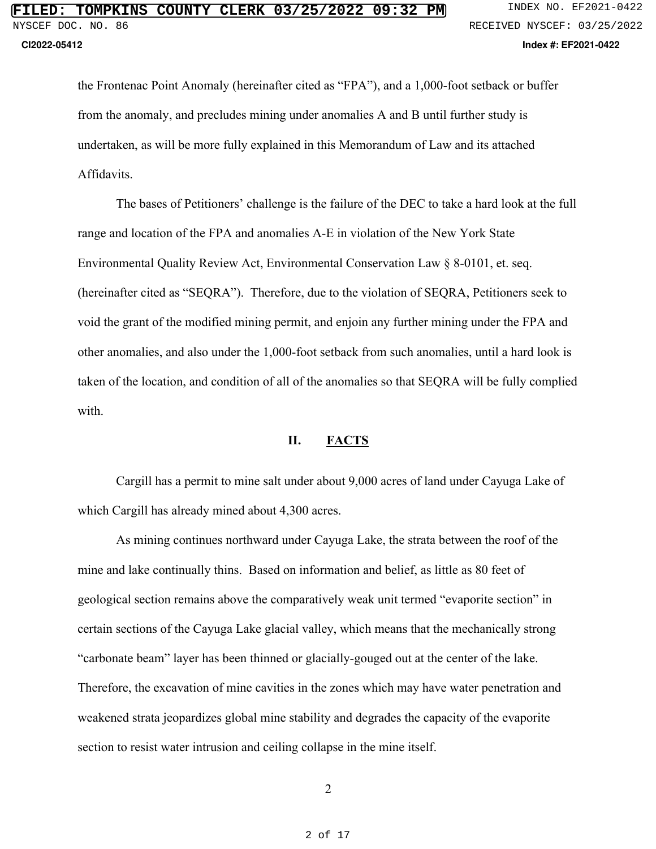the Frontenac Point Anomaly (hereinafter cited as "FPA"), and a 1,000-foot setback or buffer from the anomaly, and precludes mining under anomalies A and B until further study is undertaken, as will be more fully explained in this Memorandum of Law and its attached Affidavits.

The bases of Petitioners' challenge is the failure of the DEC to take a hard look at the full range and location of the FPA and anomalies A-E in violation of the New York State Environmental Quality Review Act, Environmental Conservation Law § 8-0101, et. seq. (hereinafter cited as "SEQRA"). Therefore, due to the violation of SEQRA, Petitioners seek to void the grant of the modified mining permit, and enjoin any further mining under the FPA and other anomalies, and also under the 1,000-foot setback from such anomalies, until a hard look is taken of the location, and condition of all of the anomalies so that SEQRA will be fully complied with.

### **II. FACTS**

Cargill has a permit to mine salt under about 9,000 acres of land under Cayuga Lake of which Cargill has already mined about 4,300 acres.

As mining continues northward under Cayuga Lake, the strata between the roof of the mine and lake continually thins. Based on information and belief, as little as 80 feet of geological section remains above the comparatively weak unit termed "evaporite section" in certain sections of the Cayuga Lake glacial valley, which means that the mechanically strong "carbonate beam" layer has been thinned or glacially-gouged out at the center of the lake. Therefore, the excavation of mine cavities in the zones which may have water penetration and weakened strata jeopardizes global mine stability and degrades the capacity of the evaporite section to resist water intrusion and ceiling collapse in the mine itself.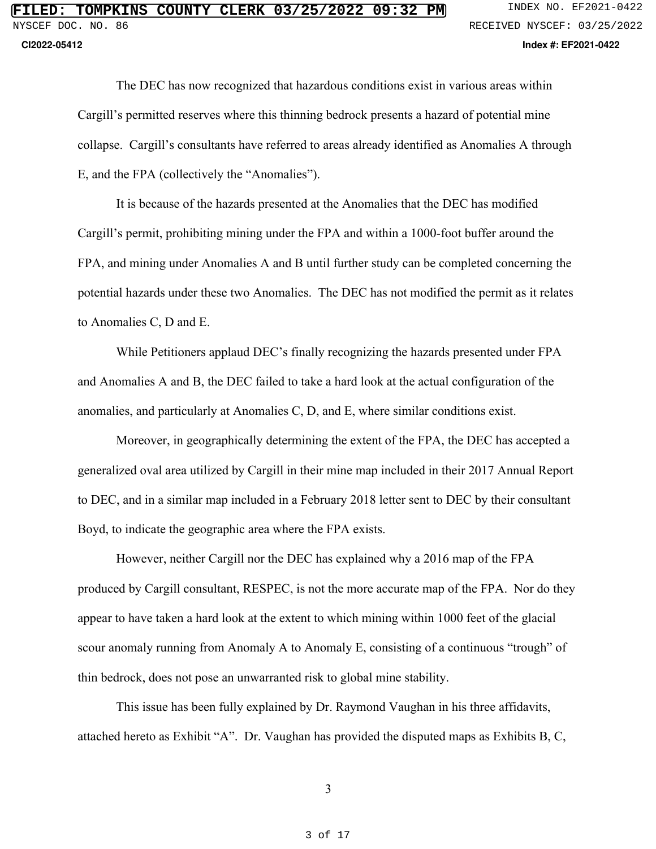The DEC has now recognized that hazardous conditions exist in various areas within Cargill's permitted reserves where this thinning bedrock presents a hazard of potential mine collapse. Cargill's consultants have referred to areas already identified as Anomalies A through E, and the FPA (collectively the "Anomalies").

It is because of the hazards presented at the Anomalies that the DEC has modified Cargill's permit, prohibiting mining under the FPA and within a 1000-foot buffer around the FPA, and mining under Anomalies A and B until further study can be completed concerning the potential hazards under these two Anomalies. The DEC has not modified the permit as it relates to Anomalies C, D and E.

While Petitioners applaud DEC's finally recognizing the hazards presented under FPA and Anomalies A and B, the DEC failed to take a hard look at the actual configuration of the anomalies, and particularly at Anomalies C, D, and E, where similar conditions exist.

Moreover, in geographically determining the extent of the FPA, the DEC has accepted a generalized oval area utilized by Cargill in their mine map included in their 2017 Annual Report to DEC, and in a similar map included in a February 2018 letter sent to DEC by their consultant Boyd, to indicate the geographic area where the FPA exists.

However, neither Cargill nor the DEC has explained why a 2016 map of the FPA produced by Cargill consultant, RESPEC, is not the more accurate map of the FPA. Nor do they appear to have taken a hard look at the extent to which mining within 1000 feet of the glacial scour anomaly running from Anomaly A to Anomaly E, consisting of a continuous "trough" of thin bedrock, does not pose an unwarranted risk to global mine stability.

This issue has been fully explained by Dr. Raymond Vaughan in his three affidavits, attached hereto as Exhibit "A". Dr. Vaughan has provided the disputed maps as Exhibits B, C,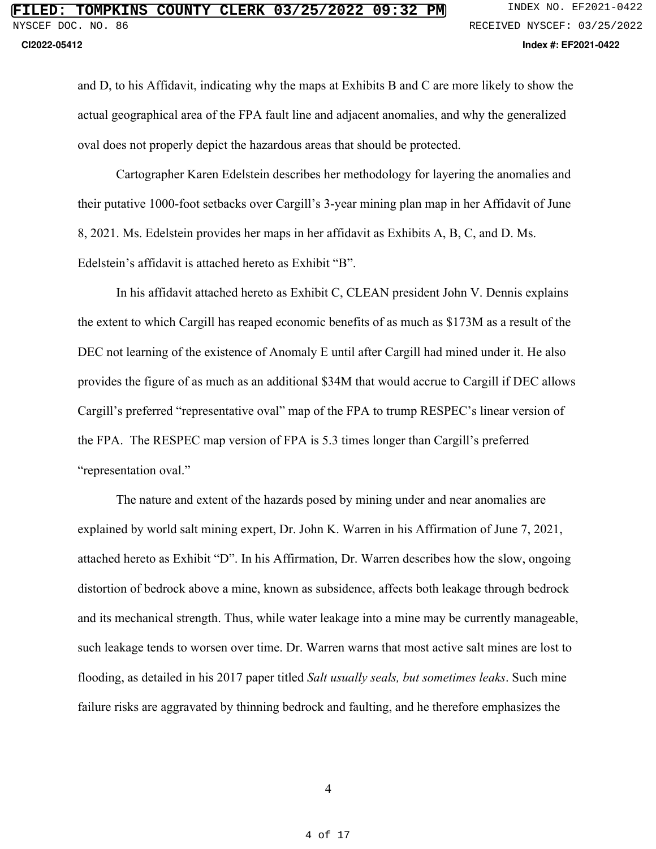and D, to his Affidavit, indicating why the maps at Exhibits B and C are more likely to show the actual geographical area of the FPA fault line and adjacent anomalies, and why the generalized oval does not properly depict the hazardous areas that should be protected.

Cartographer Karen Edelstein describes her methodology for layering the anomalies and their putative 1000-foot setbacks over Cargill's 3-year mining plan map in her Affidavit of June 8, 2021. Ms. Edelstein provides her maps in her affidavit as Exhibits A, B, C, and D. Ms. Edelstein's affidavit is attached hereto as Exhibit "B".

In his affidavit attached hereto as Exhibit C, CLEAN president John V. Dennis explains the extent to which Cargill has reaped economic benefits of as much as \$173M as a result of the DEC not learning of the existence of Anomaly E until after Cargill had mined under it. He also provides the figure of as much as an additional \$34M that would accrue to Cargill if DEC allows Cargill's preferred "representative oval" map of the FPA to trump RESPEC's linear version of the FPA. The RESPEC map version of FPA is 5.3 times longer than Cargill's preferred "representation oval."

The nature and extent of the hazards posed by mining under and near anomalies are explained by world salt mining expert, Dr. John K. Warren in his Affirmation of June 7, 2021, attached hereto as Exhibit "D". In his Affirmation, Dr. Warren describes how the slow, ongoing distortion of bedrock above a mine, known as subsidence, affects both leakage through bedrock and its mechanical strength. Thus, while water leakage into a mine may be currently manageable, such leakage tends to worsen over time. Dr. Warren warns that most active salt mines are lost to flooding, as detailed in his 2017 paper titled *Salt usually seals, but sometimes leaks*. Such mine failure risks are aggravated by thinning bedrock and faulting, and he therefore emphasizes the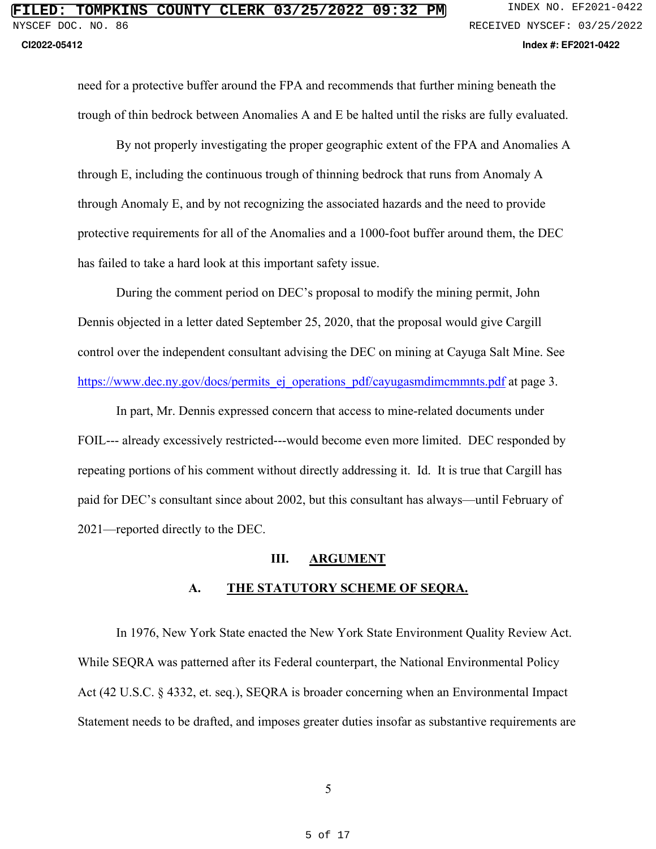need for a protective buffer around the FPA and recommends that further mining beneath the trough of thin bedrock between Anomalies A and E be halted until the risks are fully evaluated.

By not properly investigating the proper geographic extent of the FPA and Anomalies A through E, including the continuous trough of thinning bedrock that runs from Anomaly A through Anomaly E, and by not recognizing the associated hazards and the need to provide protective requirements for all of the Anomalies and a 1000-foot buffer around them, the DEC has failed to take a hard look at this important safety issue.

During the comment period on DEC's proposal to modify the mining permit, John Dennis objected in a letter dated September 25, 2020, that the proposal would give Cargill control over the independent consultant advising the DEC on mining at Cayuga Salt Mine. See https://www.dec.ny.gov/docs/permits ej\_operations\_pdf/cayugasmdimcmmnts.pdf at page 3.

In part, Mr. Dennis expressed concern that access to mine-related documents under FOIL--- already excessively restricted---would become even more limited. DEC responded by repeating portions of his comment without directly addressing it. Id. It is true that Cargill has paid for DEC's consultant since about 2002, but this consultant has always—until February of 2021—reported directly to the DEC.

### **III. ARGUMENT**

### **A. THE STATUTORY SCHEME OF SEQRA.**

In 1976, New York State enacted the New York State Environment Quality Review Act. While SEQRA was patterned after its Federal counterpart, the National Environmental Policy Act (42 U.S.C. § 4332, et. seq.), SEQRA is broader concerning when an Environmental Impact Statement needs to be drafted, and imposes greater duties insofar as substantive requirements are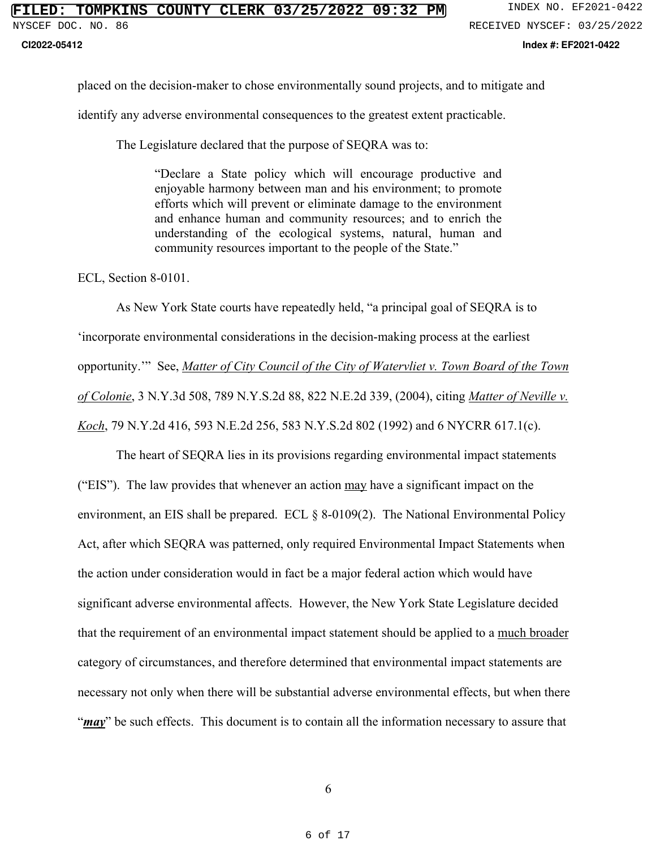**CI2022-05412 Index #: EF2021-0422**

placed on the decision-maker to chose environmentally sound projects, and to mitigate and

identify any adverse environmental consequences to the greatest extent practicable.

The Legislature declared that the purpose of SEQRA was to:

"Declare a State policy which will encourage productive and enjoyable harmony between man and his environment; to promote efforts which will prevent or eliminate damage to the environment and enhance human and community resources; and to enrich the understanding of the ecological systems, natural, human and community resources important to the people of the State."

ECL, Section 8-0101.

 As New York State courts have repeatedly held, "a principal goal of SEQRA is to 'incorporate environmental considerations in the decision-making process at the earliest opportunity.'" See, *Matter of City Council of the City of Watervliet v. Town Board of the Town of Colonie*, 3 N.Y.3d 508, 789 N.Y.S.2d 88, 822 N.E.2d 339, (2004), citing *Matter of Neville v. Koch*, 79 N.Y.2d 416, 593 N.E.2d 256, 583 N.Y.S.2d 802 (1992) and 6 NYCRR 617.1(c).

 The heart of SEQRA lies in its provisions regarding environmental impact statements ("EIS"). The law provides that whenever an action may have a significant impact on the environment, an EIS shall be prepared. ECL § 8-0109(2). The National Environmental Policy Act, after which SEQRA was patterned, only required Environmental Impact Statements when the action under consideration would in fact be a major federal action which would have significant adverse environmental affects. However, the New York State Legislature decided that the requirement of an environmental impact statement should be applied to a much broader category of circumstances, and therefore determined that environmental impact statements are necessary not only when there will be substantial adverse environmental effects, but when there "*may*" be such effects. This document is to contain all the information necessary to assure that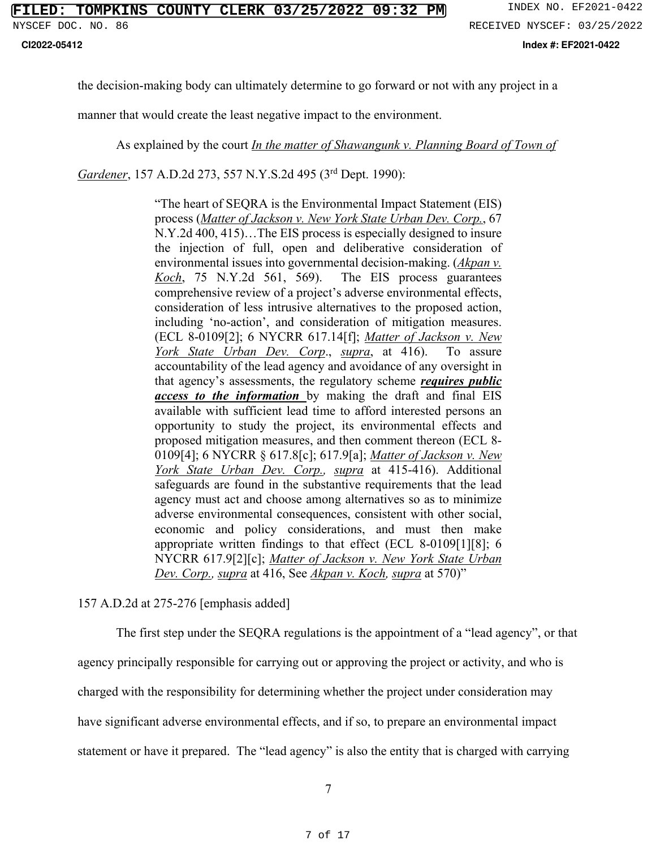**CI2022-05412 Index #: EF2021-0422**

the decision-making body can ultimately determine to go forward or not with any project in a

manner that would create the least negative impact to the environment.

As explained by the court *In the matter of Shawangunk v. Planning Board of Town of* 

*Gardener*, 157 A.D.2d 273, 557 N.Y.S.2d 495 (3rd Dept. 1990):

"The heart of SEQRA is the Environmental Impact Statement (EIS) process (*Matter of Jackson v. New York State Urban Dev. Corp.*, 67 N.Y.2d 400, 415)…The EIS process is especially designed to insure the injection of full, open and deliberative consideration of environmental issues into governmental decision-making. (*Akpan v. Koch*, 75 N.Y.2d 561, 569). The EIS process guarantees comprehensive review of a project's adverse environmental effects, consideration of less intrusive alternatives to the proposed action, including 'no-action', and consideration of mitigation measures. (ECL 8-0109[2]; 6 NYCRR 617.14[f]; *Matter of Jackson v. New York State Urban Dev. Corp*., *supra*, at 416). To assure accountability of the lead agency and avoidance of any oversight in that agency's assessments, the regulatory scheme *requires public access to the information* by making the draft and final EIS available with sufficient lead time to afford interested persons an opportunity to study the project, its environmental effects and proposed mitigation measures, and then comment thereon (ECL 8- 0109[4]; 6 NYCRR § 617.8[c]; 617.9[a]; *Matter of Jackson v. New York State Urban Dev. Corp., supra* at 415-416). Additional safeguards are found in the substantive requirements that the lead agency must act and choose among alternatives so as to minimize adverse environmental consequences, consistent with other social, economic and policy considerations, and must then make appropriate written findings to that effect (ECL 8-0109[1][8]; 6 NYCRR 617.9[2][c]; *Matter of Jackson v. New York State Urban Dev. Corp., supra* at 416, See *Akpan v. Koch, supra* at 570)"

157 A.D.2d at 275-276 [emphasis added]

 The first step under the SEQRA regulations is the appointment of a "lead agency", or that agency principally responsible for carrying out or approving the project or activity, and who is charged with the responsibility for determining whether the project under consideration may have significant adverse environmental effects, and if so, to prepare an environmental impact statement or have it prepared. The "lead agency" is also the entity that is charged with carrying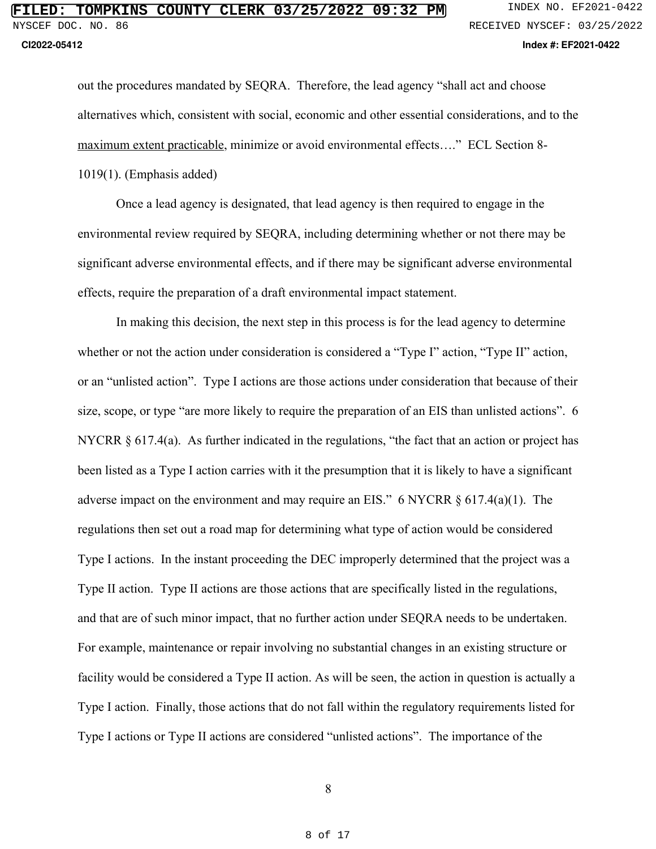out the procedures mandated by SEQRA. Therefore, the lead agency "shall act and choose alternatives which, consistent with social, economic and other essential considerations, and to the maximum extent practicable, minimize or avoid environmental effects…." ECL Section 8- 1019(1). (Emphasis added)

 Once a lead agency is designated, that lead agency is then required to engage in the environmental review required by SEQRA, including determining whether or not there may be significant adverse environmental effects, and if there may be significant adverse environmental effects, require the preparation of a draft environmental impact statement.

 In making this decision, the next step in this process is for the lead agency to determine whether or not the action under consideration is considered a "Type I" action, "Type II" action, or an "unlisted action". Type I actions are those actions under consideration that because of their size, scope, or type "are more likely to require the preparation of an EIS than unlisted actions". 6 NYCRR § 617.4(a). As further indicated in the regulations, "the fact that an action or project has been listed as a Type I action carries with it the presumption that it is likely to have a significant adverse impact on the environment and may require an EIS." 6 NYCRR  $\S 617.4(a)(1)$ . The regulations then set out a road map for determining what type of action would be considered Type I actions. In the instant proceeding the DEC improperly determined that the project was a Type II action. Type II actions are those actions that are specifically listed in the regulations, and that are of such minor impact, that no further action under SEQRA needs to be undertaken. For example, maintenance or repair involving no substantial changes in an existing structure or facility would be considered a Type II action. As will be seen, the action in question is actually a Type I action. Finally, those actions that do not fall within the regulatory requirements listed for Type I actions or Type II actions are considered "unlisted actions". The importance of the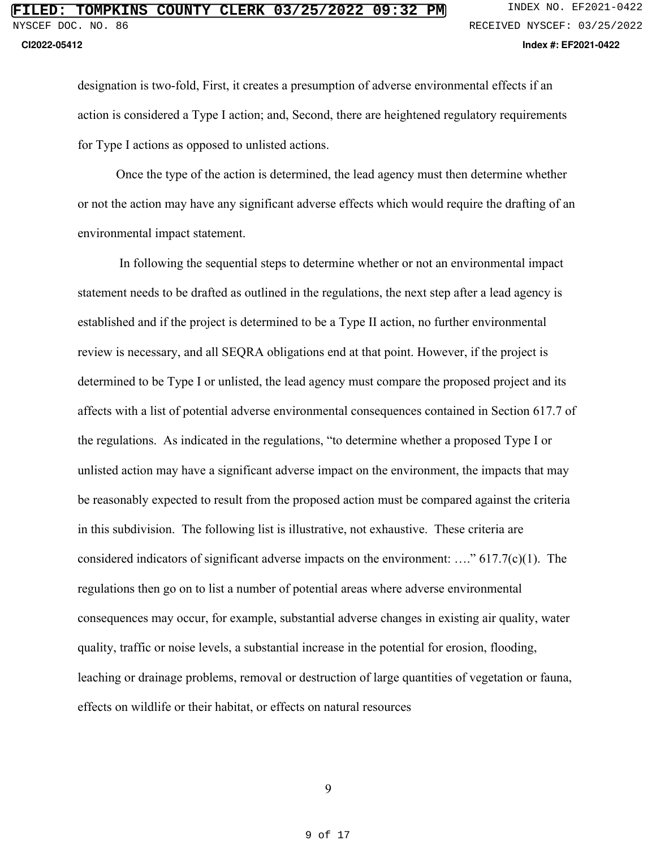designation is two-fold, First, it creates a presumption of adverse environmental effects if an action is considered a Type I action; and, Second, there are heightened regulatory requirements for Type I actions as opposed to unlisted actions.

 Once the type of the action is determined, the lead agency must then determine whether or not the action may have any significant adverse effects which would require the drafting of an environmental impact statement.

 In following the sequential steps to determine whether or not an environmental impact statement needs to be drafted as outlined in the regulations, the next step after a lead agency is established and if the project is determined to be a Type II action, no further environmental review is necessary, and all SEQRA obligations end at that point. However, if the project is determined to be Type I or unlisted, the lead agency must compare the proposed project and its affects with a list of potential adverse environmental consequences contained in Section 617.7 of the regulations. As indicated in the regulations, "to determine whether a proposed Type I or unlisted action may have a significant adverse impact on the environment, the impacts that may be reasonably expected to result from the proposed action must be compared against the criteria in this subdivision. The following list is illustrative, not exhaustive. These criteria are considered indicators of significant adverse impacts on the environment: …." 617.7(c)(1). The regulations then go on to list a number of potential areas where adverse environmental consequences may occur, for example, substantial adverse changes in existing air quality, water quality, traffic or noise levels, a substantial increase in the potential for erosion, flooding, leaching or drainage problems, removal or destruction of large quantities of vegetation or fauna, effects on wildlife or their habitat, or effects on natural resources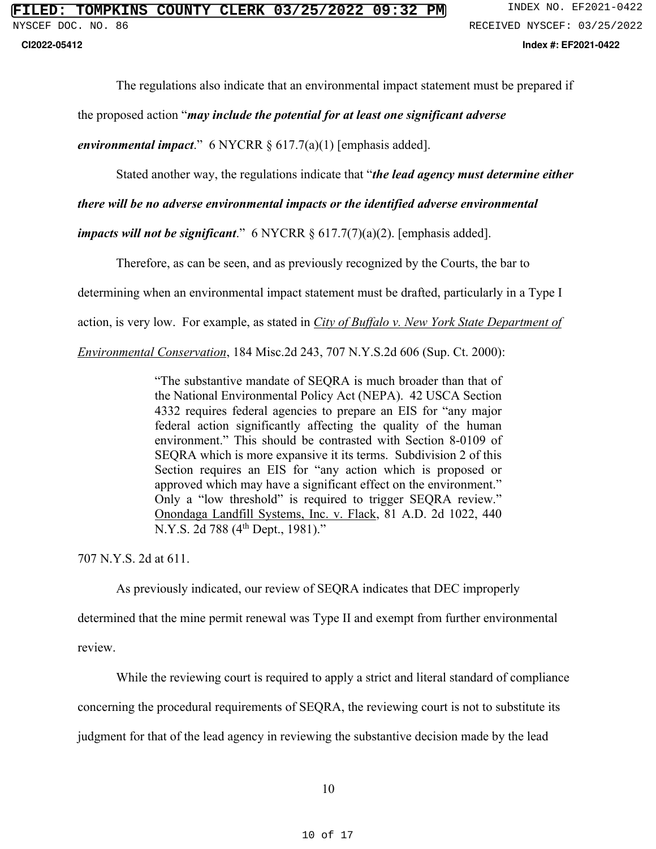**CI2022-05412 Index #: EF2021-0422**

The regulations also indicate that an environmental impact statement must be prepared if

the proposed action "*may include the potential for at least one significant adverse* 

*environmental impact*." 6 NYCRR § 617.7(a)(1) [emphasis added].

Stated another way, the regulations indicate that "*the lead agency must determine either* 

*there will be no adverse environmental impacts or the identified adverse environmental* 

*impacts will not be significant*." 6 NYCRR § 617.7(7)(a)(2). [emphasis added].

Therefore, as can be seen, and as previously recognized by the Courts, the bar to

determining when an environmental impact statement must be drafted, particularly in a Type I

action, is very low. For example, as stated in *City of Buffalo v. New York State Department of* 

*Environmental Conservation*, 184 Misc.2d 243, 707 N.Y.S.2d 606 (Sup. Ct. 2000):

"The substantive mandate of SEQRA is much broader than that of the National Environmental Policy Act (NEPA). 42 USCA Section 4332 requires federal agencies to prepare an EIS for "any major federal action significantly affecting the quality of the human environment." This should be contrasted with Section 8-0109 of SEQRA which is more expansive it its terms. Subdivision 2 of this Section requires an EIS for "any action which is proposed or approved which may have a significant effect on the environment." Only a "low threshold" is required to trigger SEQRA review." Onondaga Landfill Systems, Inc. v. Flack, 81 A.D. 2d 1022, 440 N.Y.S. 2d 788 (4<sup>th</sup> Dept., 1981)."

707 N.Y.S. 2d at 611.

As previously indicated, our review of SEQRA indicates that DEC improperly

determined that the mine permit renewal was Type II and exempt from further environmental review.

While the reviewing court is required to apply a strict and literal standard of compliance

concerning the procedural requirements of SEQRA, the reviewing court is not to substitute its

judgment for that of the lead agency in reviewing the substantive decision made by the lead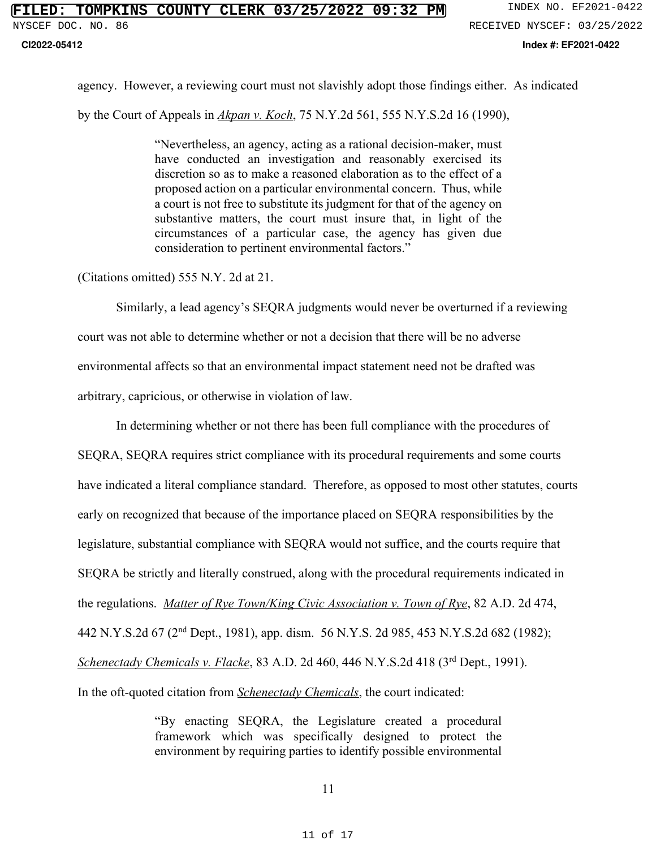### **CI2022-05412 Index #: EF2021-0422**

agency. However, a reviewing court must not slavishly adopt those findings either. As indicated by the Court of Appeals in *Akpan v. Koch*, 75 N.Y.2d 561, 555 N.Y.S.2d 16 (1990),

> "Nevertheless, an agency, acting as a rational decision-maker, must have conducted an investigation and reasonably exercised its discretion so as to make a reasoned elaboration as to the effect of a proposed action on a particular environmental concern. Thus, while a court is not free to substitute its judgment for that of the agency on substantive matters, the court must insure that, in light of the circumstances of a particular case, the agency has given due consideration to pertinent environmental factors."

(Citations omitted) 555 N.Y. 2d at 21.

 Similarly, a lead agency's SEQRA judgments would never be overturned if a reviewing court was not able to determine whether or not a decision that there will be no adverse environmental affects so that an environmental impact statement need not be drafted was arbitrary, capricious, or otherwise in violation of law.

In determining whether or not there has been full compliance with the procedures of SEQRA, SEQRA requires strict compliance with its procedural requirements and some courts have indicated a literal compliance standard. Therefore, as opposed to most other statutes, courts early on recognized that because of the importance placed on SEQRA responsibilities by the legislature, substantial compliance with SEQRA would not suffice, and the courts require that SEQRA be strictly and literally construed, along with the procedural requirements indicated in the regulations. *Matter of Rye Town/King Civic Association v. Town of Rye*, 82 A.D. 2d 474, 442 N.Y.S.2d 67 (2nd Dept., 1981), app. dism. 56 N.Y.S. 2d 985, 453 N.Y.S.2d 682 (1982); *Schenectady Chemicals v. Flacke*, 83 A.D. 2d 460, 446 N.Y.S.2d 418 (3rd Dept., 1991). In the oft-quoted citation from *Schenectady Chemicals*, the court indicated:

> "By enacting SEQRA, the Legislature created a procedural framework which was specifically designed to protect the environment by requiring parties to identify possible environmental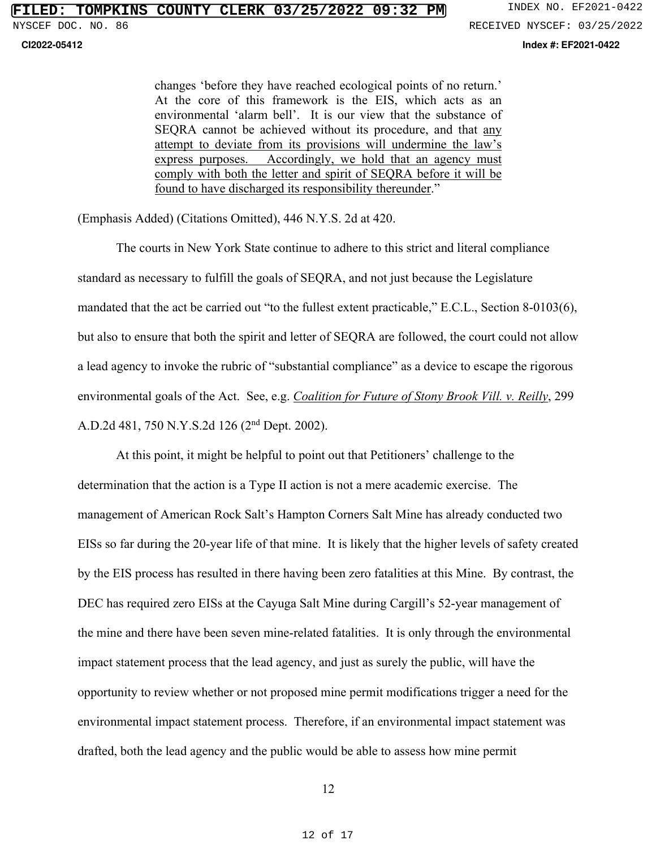**CI2022-05412 Index #: EF2021-0422**

changes 'before they have reached ecological points of no return.' At the core of this framework is the EIS, which acts as an environmental 'alarm bell'. It is our view that the substance of SEQRA cannot be achieved without its procedure, and that any attempt to deviate from its provisions will undermine the law's express purposes. Accordingly, we hold that an agency must comply with both the letter and spirit of SEQRA before it will be found to have discharged its responsibility thereunder."

(Emphasis Added) (Citations Omitted), 446 N.Y.S. 2d at 420.

 The courts in New York State continue to adhere to this strict and literal compliance standard as necessary to fulfill the goals of SEQRA, and not just because the Legislature mandated that the act be carried out "to the fullest extent practicable," E.C.L., Section 8-0103(6), but also to ensure that both the spirit and letter of SEQRA are followed, the court could not allow a lead agency to invoke the rubric of "substantial compliance" as a device to escape the rigorous environmental goals of the Act. See, e.g. *Coalition for Future of Stony Brook Vill. v. Reilly*, 299 A.D.2d 481, 750 N.Y.S.2d 126 (2nd Dept. 2002).

 At this point, it might be helpful to point out that Petitioners' challenge to the determination that the action is a Type II action is not a mere academic exercise. The management of American Rock Salt's Hampton Corners Salt Mine has already conducted two EISs so far during the 20-year life of that mine. It is likely that the higher levels of safety created by the EIS process has resulted in there having been zero fatalities at this Mine. By contrast, the DEC has required zero EISs at the Cayuga Salt Mine during Cargill's 52-year management of the mine and there have been seven mine-related fatalities. It is only through the environmental impact statement process that the lead agency, and just as surely the public, will have the opportunity to review whether or not proposed mine permit modifications trigger a need for the environmental impact statement process. Therefore, if an environmental impact statement was drafted, both the lead agency and the public would be able to assess how mine permit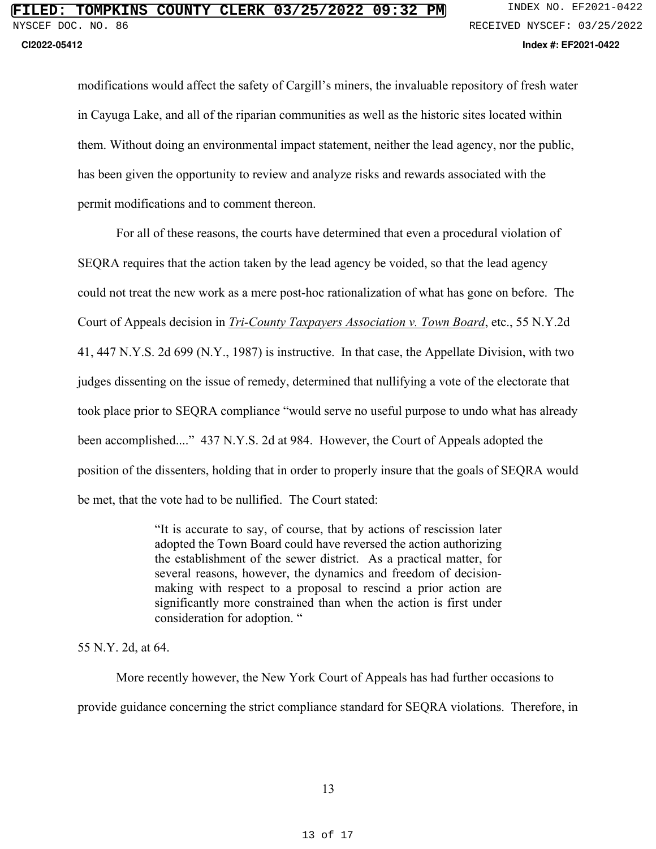modifications would affect the safety of Cargill's miners, the invaluable repository of fresh water in Cayuga Lake, and all of the riparian communities as well as the historic sites located within them. Without doing an environmental impact statement, neither the lead agency, nor the public, has been given the opportunity to review and analyze risks and rewards associated with the permit modifications and to comment thereon.

 For all of these reasons, the courts have determined that even a procedural violation of SEQRA requires that the action taken by the lead agency be voided, so that the lead agency could not treat the new work as a mere post-hoc rationalization of what has gone on before. The Court of Appeals decision in *Tri-County Taxpayers Association v. Town Board*, etc., 55 N.Y.2d 41, 447 N.Y.S. 2d 699 (N.Y., 1987) is instructive. In that case, the Appellate Division, with two judges dissenting on the issue of remedy, determined that nullifying a vote of the electorate that took place prior to SEQRA compliance "would serve no useful purpose to undo what has already been accomplished...." 437 N.Y.S. 2d at 984. However, the Court of Appeals adopted the position of the dissenters, holding that in order to properly insure that the goals of SEQRA would be met, that the vote had to be nullified. The Court stated:

> "It is accurate to say, of course, that by actions of rescission later adopted the Town Board could have reversed the action authorizing the establishment of the sewer district. As a practical matter, for several reasons, however, the dynamics and freedom of decisionmaking with respect to a proposal to rescind a prior action are significantly more constrained than when the action is first under consideration for adoption. "

55 N.Y. 2d, at 64.

 More recently however, the New York Court of Appeals has had further occasions to provide guidance concerning the strict compliance standard for SEQRA violations. Therefore, in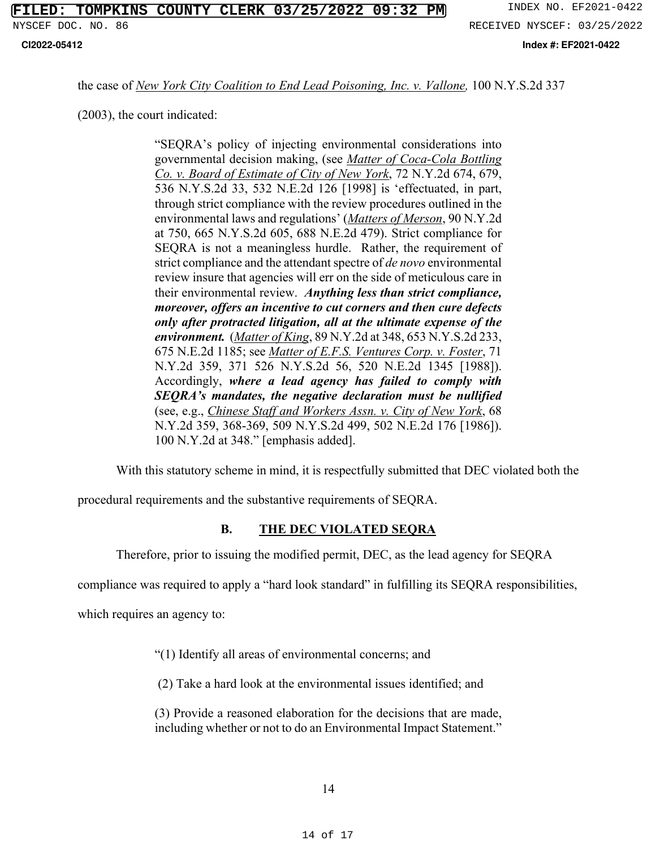**CI2022-05412 Index #: EF2021-0422**

the case of *New York City Coalition to End Lead Poisoning, Inc. v. Vallone,* 100 N.Y.S.2d 337

(2003), the court indicated:

"SEQRA's policy of injecting environmental considerations into governmental decision making, (see *Matter of Coca-Cola Bottling Co. v. Board of Estimate of City of New York*, 72 N.Y.2d 674, 679, 536 N.Y.S.2d 33, 532 N.E.2d 126 [1998] is 'effectuated, in part, through strict compliance with the review procedures outlined in the environmental laws and regulations' (*Matters of Merson*, 90 N.Y.2d at 750, 665 N.Y.S.2d 605, 688 N.E.2d 479). Strict compliance for SEQRA is not a meaningless hurdle. Rather, the requirement of strict compliance and the attendant spectre of *de novo* environmental review insure that agencies will err on the side of meticulous care in their environmental review. *Anything less than strict compliance, moreover, offers an incentive to cut corners and then cure defects only after protracted litigation, all at the ultimate expense of the environment.* (*Matter of King*, 89 N.Y.2d at 348, 653 N.Y.S.2d 233, 675 N.E.2d 1185; see *Matter of E.F.S. Ventures Corp. v. Foster*, 71 N.Y.2d 359, 371 526 N.Y.S.2d 56, 520 N.E.2d 1345 [1988]). Accordingly, *where a lead agency has failed to comply with SEQRA's mandates, the negative declaration must be nullified* (see, e.g., *Chinese Staff and Workers Assn. v. City of New York*, 68 N.Y.2d 359, 368-369, 509 N.Y.S.2d 499, 502 N.E.2d 176 [1986]). 100 N.Y.2d at 348." [emphasis added].

With this statutory scheme in mind, it is respectfully submitted that DEC violated both the

procedural requirements and the substantive requirements of SEQRA.

## **B. THE DEC VIOLATED SEQRA**

Therefore, prior to issuing the modified permit, DEC, as the lead agency for SEQRA

compliance was required to apply a "hard look standard" in fulfilling its SEQRA responsibilities,

which requires an agency to:

"(1) Identify all areas of environmental concerns; and

(2) Take a hard look at the environmental issues identified; and

(3) Provide a reasoned elaboration for the decisions that are made, including whether or not to do an Environmental Impact Statement."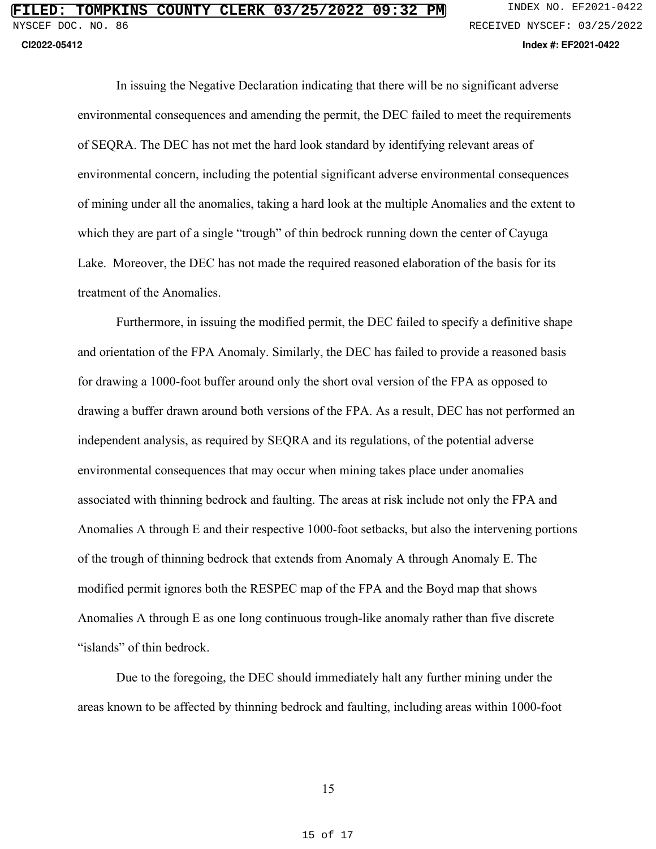In issuing the Negative Declaration indicating that there will be no significant adverse environmental consequences and amending the permit, the DEC failed to meet the requirements of SEQRA. The DEC has not met the hard look standard by identifying relevant areas of environmental concern, including the potential significant adverse environmental consequences of mining under all the anomalies, taking a hard look at the multiple Anomalies and the extent to which they are part of a single "trough" of thin bedrock running down the center of Cayuga Lake. Moreover, the DEC has not made the required reasoned elaboration of the basis for its treatment of the Anomalies.

Furthermore, in issuing the modified permit, the DEC failed to specify a definitive shape and orientation of the FPA Anomaly. Similarly, the DEC has failed to provide a reasoned basis for drawing a 1000-foot buffer around only the short oval version of the FPA as opposed to drawing a buffer drawn around both versions of the FPA. As a result, DEC has not performed an independent analysis, as required by SEQRA and its regulations, of the potential adverse environmental consequences that may occur when mining takes place under anomalies associated with thinning bedrock and faulting. The areas at risk include not only the FPA and Anomalies A through E and their respective 1000-foot setbacks, but also the intervening portions of the trough of thinning bedrock that extends from Anomaly A through Anomaly E. The modified permit ignores both the RESPEC map of the FPA and the Boyd map that shows Anomalies A through E as one long continuous trough-like anomaly rather than five discrete "islands" of thin bedrock.

Due to the foregoing, the DEC should immediately halt any further mining under the areas known to be affected by thinning bedrock and faulting, including areas within 1000-foot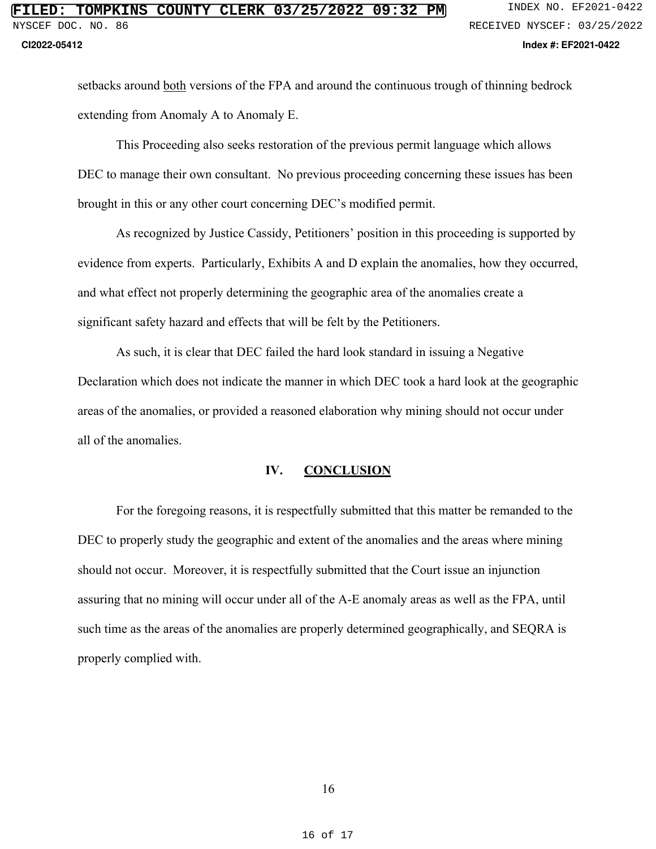setbacks around both versions of the FPA and around the continuous trough of thinning bedrock extending from Anomaly A to Anomaly E.

This Proceeding also seeks restoration of the previous permit language which allows DEC to manage their own consultant. No previous proceeding concerning these issues has been brought in this or any other court concerning DEC's modified permit.

As recognized by Justice Cassidy, Petitioners' position in this proceeding is supported by evidence from experts. Particularly, Exhibits A and D explain the anomalies, how they occurred, and what effect not properly determining the geographic area of the anomalies create a significant safety hazard and effects that will be felt by the Petitioners.

As such, it is clear that DEC failed the hard look standard in issuing a Negative Declaration which does not indicate the manner in which DEC took a hard look at the geographic areas of the anomalies, or provided a reasoned elaboration why mining should not occur under all of the anomalies.

### **IV. CONCLUSION**

For the foregoing reasons, it is respectfully submitted that this matter be remanded to the DEC to properly study the geographic and extent of the anomalies and the areas where mining should not occur. Moreover, it is respectfully submitted that the Court issue an injunction assuring that no mining will occur under all of the A-E anomaly areas as well as the FPA, until such time as the areas of the anomalies are properly determined geographically, and SEQRA is properly complied with.